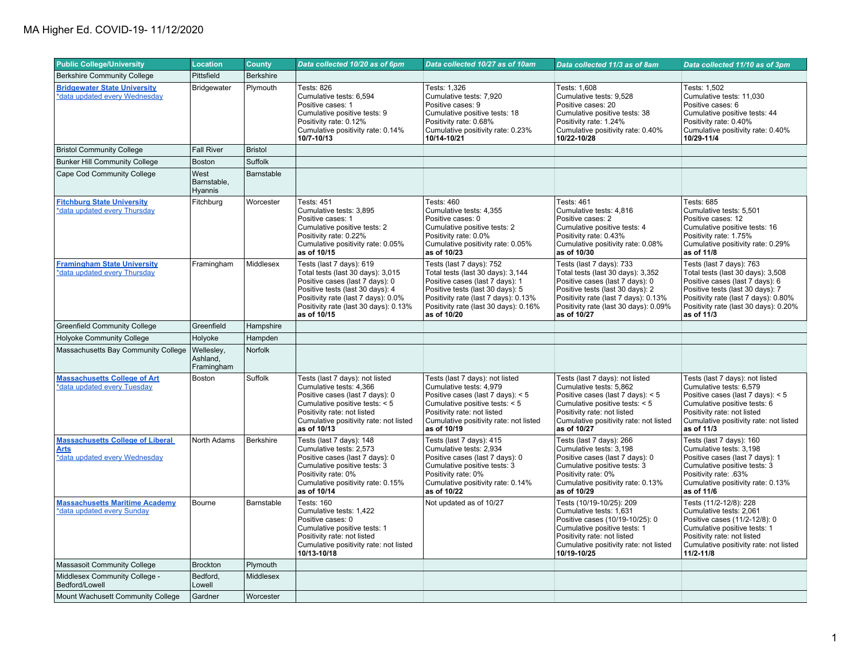| <b>Public College/University</b>                                                        | <b>Location</b>                      | <b>County</b>     | Data collected 10/20 as of 6pm                                                                                                                                                                                                      | Data collected 10/27 as of 10am                                                                                                                                                                                                      | Data collected 11/3 as of 8am                                                                                                                                                                                                        | Data collected 11/10 as of 3pm                                                                                                                                                                                                      |
|-----------------------------------------------------------------------------------------|--------------------------------------|-------------------|-------------------------------------------------------------------------------------------------------------------------------------------------------------------------------------------------------------------------------------|--------------------------------------------------------------------------------------------------------------------------------------------------------------------------------------------------------------------------------------|--------------------------------------------------------------------------------------------------------------------------------------------------------------------------------------------------------------------------------------|-------------------------------------------------------------------------------------------------------------------------------------------------------------------------------------------------------------------------------------|
| <b>Berkshire Community College</b>                                                      | Pittsfield                           | <b>Berkshire</b>  |                                                                                                                                                                                                                                     |                                                                                                                                                                                                                                      |                                                                                                                                                                                                                                      |                                                                                                                                                                                                                                     |
| <b>Bridgewater State University</b><br>*data updated every Wednesday                    | Bridgewater                          | Plymouth          | Tests: 826<br>Cumulative tests: 6,594<br>Positive cases: 1<br>Cumulative positive tests: 9<br>Positivity rate: 0.12%<br>Cumulative positivity rate: 0.14%<br>10/7-10/13                                                             | Tests: 1,326<br>Cumulative tests: 7,920<br>Positive cases: 9<br>Cumulative positive tests: 18<br>Positivity rate: 0.68%<br>Cumulative positivity rate: 0.23%<br>10/14-10/21                                                          | Tests: 1,608<br>Cumulative tests: 9,528<br>Positive cases: 20<br>Cumulative positive tests: 38<br>Positivity rate: 1.24%<br>Cumulative positivity rate: 0.40%<br>10/22-10/28                                                         | Tests: 1,502<br>Cumulative tests: 11,030<br>Positive cases: 6<br>Cumulative positive tests: 44<br>Positivity rate: 0.40%<br>Cumulative positivity rate: 0.40%<br>10/29-11/4                                                         |
| <b>Bristol Community College</b>                                                        | <b>Fall River</b>                    | <b>Bristol</b>    |                                                                                                                                                                                                                                     |                                                                                                                                                                                                                                      |                                                                                                                                                                                                                                      |                                                                                                                                                                                                                                     |
| <b>Bunker Hill Community College</b>                                                    | Boston                               | Suffolk           |                                                                                                                                                                                                                                     |                                                                                                                                                                                                                                      |                                                                                                                                                                                                                                      |                                                                                                                                                                                                                                     |
| Cape Cod Community College                                                              | West<br>Barnstable,<br>Hyannis       | <b>Barnstable</b> |                                                                                                                                                                                                                                     |                                                                                                                                                                                                                                      |                                                                                                                                                                                                                                      |                                                                                                                                                                                                                                     |
| <b>Fitchburg State University</b><br>*data updated every Thursday                       | Fitchburg                            | Worcester         | Tests: 451<br>Cumulative tests: 3.895<br>Positive cases: 1<br>Cumulative positive tests: 2<br>Positivity rate: 0.22%<br>Cumulative positivity rate: 0.05%<br>as of 10/15                                                            | <b>Tests: 460</b><br>Cumulative tests: 4,355<br>Positive cases: 0<br>Cumulative positive tests: 2<br>Positivity rate: 0.0%<br>Cumulative positivity rate: 0.05%<br>as of 10/23                                                       | Tests: 461<br>Cumulative tests: 4,816<br>Positive cases: 2<br>Cumulative positive tests: 4<br>Positivity rate: 0.43%<br>Cumulative positivity rate: 0.08%<br>as of 10/30                                                             | Tests: 685<br>Cumulative tests: 5,501<br>Positive cases: 12<br>Cumulative positive tests: 16<br>Positivity rate: 1.75%<br>Cumulative positivity rate: 0.29%<br>as of 11/8                                                           |
| <b>Framingham State University</b><br>*data updated every Thursday                      | Framingham                           | Middlesex         | Tests (last 7 days): 619<br>Total tests (last 30 days): 3,015<br>Positive cases (last 7 days): 0<br>Positive tests (last 30 days): 4<br>Positivity rate (last 7 days): 0.0%<br>Positivity rate (last 30 days): 0.13%<br>as of 10/15 | Tests (last 7 days): 752<br>Total tests (last 30 days): 3,144<br>Positive cases (last 7 days): 1<br>Positive tests (last 30 days): 5<br>Positivity rate (last 7 days): 0.13%<br>Positivity rate (last 30 days): 0.16%<br>as of 10/20 | Tests (last 7 days): 733<br>Total tests (last 30 days): 3,352<br>Positive cases (last 7 days): 0<br>Positive tests (last 30 days): 2<br>Positivity rate (last 7 days): 0.13%<br>Positivity rate (last 30 days): 0.09%<br>as of 10/27 | Tests (last 7 days): 763<br>Total tests (last 30 days): 3,508<br>Positive cases (last 7 days): 6<br>Positive tests (last 30 days): 7<br>Positivity rate (last 7 days): 0.80%<br>Positivity rate (last 30 days): 0.20%<br>as of 11/3 |
| <b>Greenfield Community College</b>                                                     | Greenfield                           | Hampshire         |                                                                                                                                                                                                                                     |                                                                                                                                                                                                                                      |                                                                                                                                                                                                                                      |                                                                                                                                                                                                                                     |
| <b>Holyoke Community College</b>                                                        | Holyoke                              | Hampden           |                                                                                                                                                                                                                                     |                                                                                                                                                                                                                                      |                                                                                                                                                                                                                                      |                                                                                                                                                                                                                                     |
| Massachusetts Bay Community College                                                     | Wellesley,<br>Ashland,<br>Framingham | Norfolk           |                                                                                                                                                                                                                                     |                                                                                                                                                                                                                                      |                                                                                                                                                                                                                                      |                                                                                                                                                                                                                                     |
| <b>Massachusetts College of Art</b><br>*data updated every Tuesday                      | Boston                               | Suffolk           | Tests (last 7 days): not listed<br>Cumulative tests: 4,366<br>Positive cases (last 7 days): 0<br>Cumulative positive tests: < 5<br>Positivity rate: not listed<br>Cumulative positivity rate: not listed<br>as of 10/13             | Tests (last 7 days): not listed<br>Cumulative tests: 4,979<br>Positive cases (last 7 days): $< 5$<br>Cumulative positive tests: < 5<br>Positivity rate: not listed<br>Cumulative positivity rate: not listed<br>as of 10/19          | Tests (last 7 days): not listed<br>Cumulative tests: 5,862<br>Positive cases (last 7 days): < 5<br>Cumulative positive tests: < 5<br>Positivity rate: not listed<br>Cumulative positivity rate: not listed<br>as of 10/27            | Tests (last 7 days): not listed<br>Cumulative tests: 6,579<br>Positive cases (last 7 days): $< 5$<br>Cumulative positive tests: 6<br>Positivity rate: not listed<br>Cumulative positivity rate: not listed<br>as of 11/3            |
| <b>Massachusetts College of Liberal</b><br><b>Arts</b><br>*data updated every Wednesday | North Adams                          | Berkshire         | Tests (last 7 days): 148<br>Cumulative tests: 2,573<br>Positive cases (last 7 days): 0<br>Cumulative positive tests: 3<br>Positivity rate: 0%<br>Cumulative positivity rate: 0.15%<br>as of 10/14                                   | Tests (last 7 days): 415<br>Cumulative tests: 2,934<br>Positive cases (last 7 days): 0<br>Cumulative positive tests: 3<br>Positivity rate: 0%<br>Cumulative positivity rate: 0.14%<br>as of 10/22                                    | Tests (last 7 days): 266<br>Cumulative tests: 3,198<br>Positive cases (last 7 days): 0<br>Cumulative positive tests: 3<br>Positivity rate: 0%<br>Cumulative positivity rate: 0.13%<br>as of 10/29                                    | Tests (last 7 days): 160<br>Cumulative tests: 3,198<br>Positive cases (last 7 days): 1<br>Cumulative positive tests: 3<br>Positivity rate: .63%<br>Cumulative positivity rate: 0.13%<br>as of 11/6                                  |
| <b>Massachusetts Maritime Academy</b><br>*data updated every Sunday                     | Bourne                               | Barnstable        | <b>Tests: 160</b><br>Cumulative tests: 1,422<br>Positive cases: 0<br>Cumulative positive tests: 1<br>Positivity rate: not listed<br>Cumulative positivity rate: not listed<br>10/13-10/18                                           | Not updated as of 10/27                                                                                                                                                                                                              | Tests (10/19-10/25): 209<br>Cumulative tests: 1,631<br>Positive cases (10/19-10/25): 0<br>Cumulative positive tests: 1<br>Positivity rate: not listed<br>Cumulative positivity rate: not listed<br>10/19-10/25                       | Tests (11/2-12/8): 228<br>Cumulative tests: 2,061<br>Positive cases (11/2-12/8): 0<br>Cumulative positive tests: 1<br>Positivity rate: not listed<br>Cumulative positivity rate: not listed<br>11/2-11/8                            |
| <b>Massasoit Community College</b>                                                      | <b>Brockton</b>                      | Plymouth          |                                                                                                                                                                                                                                     |                                                                                                                                                                                                                                      |                                                                                                                                                                                                                                      |                                                                                                                                                                                                                                     |
| Middlesex Community College -<br>Bedford/Lowell                                         | Bedford,<br>Lowell                   | Middlesex         |                                                                                                                                                                                                                                     |                                                                                                                                                                                                                                      |                                                                                                                                                                                                                                      |                                                                                                                                                                                                                                     |
| Mount Wachusett Community College                                                       | Gardner                              | Worcester         |                                                                                                                                                                                                                                     |                                                                                                                                                                                                                                      |                                                                                                                                                                                                                                      |                                                                                                                                                                                                                                     |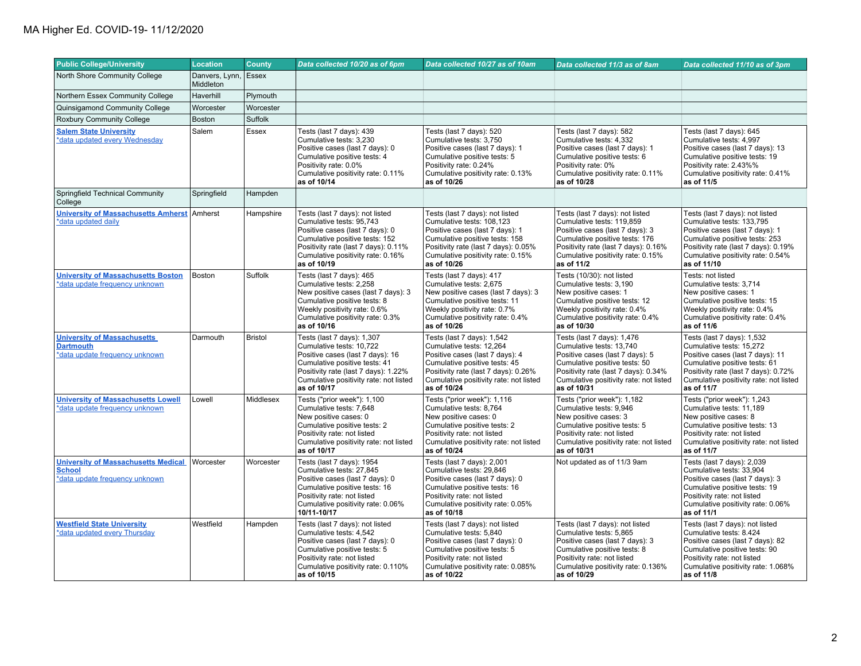| <b>Public College/University</b>                                                              | <b>Location</b>                   | County         | Data collected 10/20 as of 6pm                                                                                                                                                                                               | Data collected 10/27 as of 10am                                                                                                                                                                                               | Data collected 11/3 as of 8am                                                                                                                                                                                                | Data collected 11/10 as of 3pm                                                                                                                                                                                                |
|-----------------------------------------------------------------------------------------------|-----------------------------------|----------------|------------------------------------------------------------------------------------------------------------------------------------------------------------------------------------------------------------------------------|-------------------------------------------------------------------------------------------------------------------------------------------------------------------------------------------------------------------------------|------------------------------------------------------------------------------------------------------------------------------------------------------------------------------------------------------------------------------|-------------------------------------------------------------------------------------------------------------------------------------------------------------------------------------------------------------------------------|
| North Shore Community College                                                                 | Danvers, Lynn, Essex<br>Middleton |                |                                                                                                                                                                                                                              |                                                                                                                                                                                                                               |                                                                                                                                                                                                                              |                                                                                                                                                                                                                               |
| Northern Essex Community College                                                              | Haverhill                         | Plymouth       |                                                                                                                                                                                                                              |                                                                                                                                                                                                                               |                                                                                                                                                                                                                              |                                                                                                                                                                                                                               |
| Quinsigamond Community College                                                                | Worcester                         | Worcester      |                                                                                                                                                                                                                              |                                                                                                                                                                                                                               |                                                                                                                                                                                                                              |                                                                                                                                                                                                                               |
| <b>Roxbury Community College</b>                                                              | Boston                            | Suffolk        |                                                                                                                                                                                                                              |                                                                                                                                                                                                                               |                                                                                                                                                                                                                              |                                                                                                                                                                                                                               |
| <b>Salem State University</b><br>*data updated every Wednesday                                | Salem                             | Essex          | Tests (last 7 days): 439<br>Cumulative tests: 3,230<br>Positive cases (last 7 days): 0<br>Cumulative positive tests: 4<br>Positivity rate: 0.0%<br>Cumulative positivity rate: 0.11%<br>as of 10/14                          | Tests (last 7 days): 520<br>Cumulative tests: 3,750<br>Positive cases (last 7 days): 1<br>Cumulative positive tests: 5<br>Positivity rate: 0.24%<br>Cumulative positivity rate: 0.13%<br>as of 10/26                          | Tests (last 7 days): 582<br>Cumulative tests: 4,332<br>Positive cases (last 7 days): 1<br>Cumulative positive tests: 6<br>Positivity rate: 0%<br>Cumulative positivity rate: 0.11%<br>as of 10/28                            | Tests (last 7 days): 645<br>Cumulative tests: 4,997<br>Positive cases (last 7 days): 13<br>Cumulative positive tests: 19<br>Positivity rate: 2.43%%<br>Cumulative positivity rate: 0.41%<br>as of 11/5                        |
| <b>Springfield Technical Community</b><br>College                                             | Springfield                       | Hampden        |                                                                                                                                                                                                                              |                                                                                                                                                                                                                               |                                                                                                                                                                                                                              |                                                                                                                                                                                                                               |
| <b>University of Massachusetts Amherst</b><br>*data updated daily                             | Amherst                           | Hampshire      | Tests (last 7 days): not listed<br>Cumulative tests: 95,743<br>Positive cases (last 7 days): 0<br>Cumulative positive tests: 152<br>Positivity rate (last 7 days): 0.11%<br>Cumulative positivity rate: 0.16%<br>as of 10/19 | Tests (last 7 days): not listed<br>Cumulative tests: 108,123<br>Positive cases (last 7 days): 1<br>Cumulative positive tests: 158<br>Positivity rate (last 7 days): 0.05%<br>Cumulative positivity rate: 0.15%<br>as of 10/26 | Tests (last 7 days): not listed<br>Cumulative tests: 119,859<br>Positive cases (last 7 days): 3<br>Cumulative positive tests: 176<br>Positivity rate (last 7 days): 0.16%<br>Cumulative positivity rate: 0.15%<br>as of 11/2 | Tests (last 7 days): not listed<br>Cumulative tests: 133,795<br>Positive cases (last 7 days): 1<br>Cumulative positive tests: 253<br>Positivity rate (last 7 days): 0.19%<br>Cumulative positivity rate: 0.54%<br>as of 11/10 |
| <b>University of Massachusetts Boston</b><br>*data update frequency unknown                   | Boston                            | Suffolk        | Tests (last 7 days): 465<br>Cumulative tests: 2,258<br>New positive cases (last 7 days): 3<br>Cumulative positive tests: 8<br>Weekly positivity rate: 0.6%<br>Cumulative positivity rate: 0.3%<br>as of 10/16                | Tests (last 7 days): 417<br>Cumulative tests: 2,675<br>New positive cases (last 7 days): 3<br>Cumulative positive tests: 11<br>Weekly positivity rate: 0.7%<br>Cumulative positivity rate: 0.4%<br>as of 10/26                | Tests (10/30): not listed<br>Cumulative tests: 3,190<br>New positive cases: 1<br>Cumulative positive tests: 12<br>Weekly positivity rate: 0.4%<br>Cumulative positivity rate: 0.4%<br>as of 10/30                            | Tests: not listed<br>Cumulative tests: 3.714<br>New positive cases: 1<br>Cumulative positive tests: 15<br>Weekly positivity rate: 0.4%<br>Cumulative positivity rate: 0.4%<br>as of 11/6                                      |
| <b>University of Massachusetts</b><br><b>Dartmouth</b><br>*data update frequency unknown      | Darmouth                          | <b>Bristol</b> | Tests (last 7 days): 1,307<br>Cumulative tests: 10,722<br>Positive cases (last 7 days): 16<br>Cumulative positive tests: 41<br>Positivity rate (last 7 days): 1.22%<br>Cumulative positivity rate: not listed<br>as of 10/17 | Tests (last 7 days): 1,542<br>Cumulative tests: 12,264<br>Positive cases (last 7 days): 4<br>Cumulative positive tests: 45<br>Positivity rate (last 7 days): 0.26%<br>Cumulative positivity rate: not listed<br>as of 10/24   | Tests (last 7 days): 1,476<br>Cumulative tests: 13,740<br>Positive cases (last 7 days): 5<br>Cumulative positive tests: 50<br>Positivity rate (last 7 days): 0.34%<br>Cumulative positivity rate: not listed<br>as of 10/31  | Tests (last 7 days): 1,532<br>Cumulative tests: 15,272<br>Positive cases (last 7 days): 11<br>Cumulative positive tests: 61<br>Positivity rate (last 7 days): 0.72%<br>Cumulative positivity rate: not listed<br>as of 11/7   |
| <b>University of Massachusetts Lowell</b><br>*data update frequency unknown                   | Lowell                            | Middlesex      | Tests ("prior week"): 1,100<br>Cumulative tests: 7,648<br>New positive cases: 0<br>Cumulative positive tests: 2<br>Positivity rate: not listed<br>Cumulative positivity rate: not listed<br>as of 10/17                      | Tests ("prior week"): 1,116<br>Cumulative tests: 8,764<br>New positive cases: 0<br>Cumulative positive tests: 2<br>Positivity rate: not listed<br>Cumulative positivity rate: not listed<br>as of 10/24                       | Tests ("prior week"): 1,182<br>Cumulative tests: 9,946<br>New positive cases: 3<br>Cumulative positive tests: 5<br>Positivity rate: not listed<br>Cumulative positivity rate: not listed<br>as of 10/31                      | Tests ("prior week"): 1,243<br>Cumulative tests: 11,189<br>New positive cases: 8<br>Cumulative positive tests: 13<br>Positivity rate: not listed<br>Cumulative positivity rate: not listed<br>as of 11/7                      |
| <b>University of Massachusetts Medical</b><br><b>School</b><br>*data update frequency unknown | Worcester                         | Worcester      | Tests (last 7 days): 1954<br>Cumulative tests: 27,845<br>Positive cases (last 7 days): 0<br>Cumulative positive tests: 16<br>Positivity rate: not listed<br>Cumulative positivity rate: 0.06%<br>10/11-10/17                 | Tests (last 7 days): 2,001<br>Cumulative tests: 29,846<br>Positive cases (last 7 days): 0<br>Cumulative positive tests: 16<br>Positivity rate: not listed<br>Cumulative positivity rate: 0.05%<br>as of 10/18                 | Not updated as of 11/3 9am                                                                                                                                                                                                   | Tests (last 7 days): 2,039<br>Cumulative tests: 33,904<br>Positive cases (last 7 days): 3<br>Cumulative positive tests: 19<br>Positivity rate: not listed<br>Cumulative positivity rate: 0.06%<br>as of 11/1                  |
| <b>Westfield State University</b><br>*data updated every Thursday                             | Westfield                         | Hampden        | Tests (last 7 days): not listed<br>Cumulative tests: 4,542<br>Positive cases (last 7 days): 0<br>Cumulative positive tests: 5<br>Positivity rate: not listed<br>Cumulative positivity rate: 0.110%<br>as of 10/15            | Tests (last 7 days): not listed<br>Cumulative tests: 5.840<br>Positive cases (last 7 days): 0<br>Cumulative positive tests: 5<br>Positivity rate: not listed<br>Cumulative positivity rate: 0.085%<br>as of 10/22             | Tests (last 7 days): not listed<br>Cumulative tests: 5.865<br>Positive cases (last 7 days): 3<br>Cumulative positive tests: 8<br>Positivity rate: not listed<br>Cumulative positivity rate: 0.136%<br>as of 10/29            | Tests (last 7 days): not listed<br>Cumulative tests: 8.424<br>Positive cases (last 7 days): 82<br>Cumulative positive tests: 90<br>Positivity rate: not listed<br>Cumulative positivity rate: 1.068%<br>as of 11/8            |